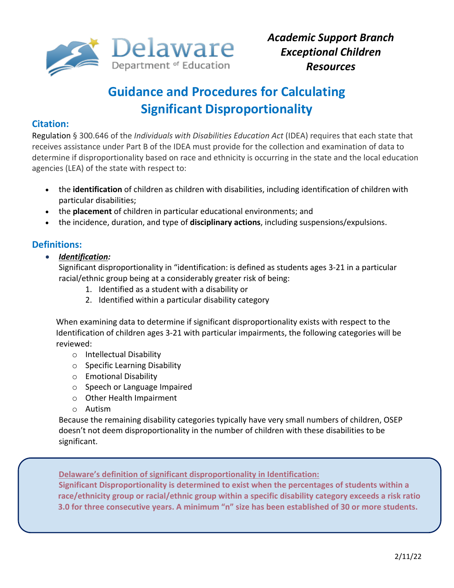

# **Guidance and Procedures for Calculating Significant Disproportionality**

## **Citation:**

Regulation § 300.646 of the *Individuals with Disabilities Education Act* (IDEA) requires that each state that receives assistance under Part B of the IDEA must provide for the collection and examination of data to determine if disproportionality based on race and ethnicity is occurring in the state and the local education agencies (LEA) of the state with respect to:

- the **identification** of children as children with disabilities, including identification of children with particular disabilities;
- the **placement** of children in particular educational environments; and
- the incidence, duration, and type of **disciplinary actions**, including suspensions/expulsions.

## **Definitions:**

*Identification:*

Significant disproportionality in "identification: is defined as students ages 3-21 in a particular racial/ethnic group being at a considerably greater risk of being:

- 1. Identified as a student with a disability or
- 2. Identified within a particular disability category

 When examining data to determine if significant disproportionality exists with respect to the Identification of children ages 3-21 with particular impairments, the following categories will be reviewed:

- o Intellectual Disability
- o Specific Learning Disability
- o Emotional Disability
- o Speech or Language Impaired
- o Other Health Impairment
- o Autism

Because the remaining disability categories typically have very small numbers of children, OSEP doesn't not deem disproportionality in the number of children with these disabilities to be significant.

**Delaware's definition of significant disproportionality in Identification:**

**Significant Disproportionality is determined to exist when the percentages of students within a race/ethnicity group or racial/ethnic group within a specific disability category exceeds a risk ratio 3.0 for three consecutive years. A minimum "n" size has been established of 30 or more students.**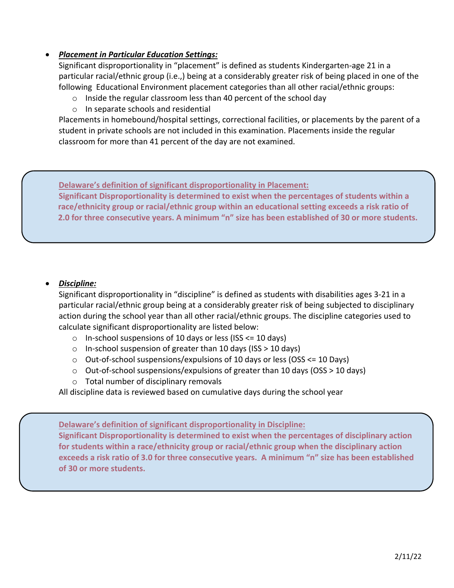## *Placement in Particular Education Settings:*

Significant disproportionality in "placement" is defined as students Kindergarten-age 21 in a particular racial/ethnic group (i.e.,) being at a considerably greater risk of being placed in one of the following Educational Environment placement categories than all other racial/ethnic groups:

- o Inside the regular classroom less than 40 percent of the school day
- o In separate schools and residential

Placements in homebound/hospital settings, correctional facilities, or placements by the parent of a student in private schools are not included in this examination. Placements inside the regular classroom for more than 41 percent of the day are not examined.

**Delaware's definition of significant disproportionality in Placement: Significant Disproportionality is determined to exist when the percentages of students within a race/ethnicity group or racial/ethnic group within an educational setting exceeds a risk ratio of 2.0 for three consecutive years. A minimum "n" size has been established of 30 or more students.**

## *Discipline:*

Significant disproportionality in "discipline" is defined as students with disabilities ages 3-21 in a particular racial/ethnic group being at a considerably greater risk of being subjected to disciplinary action during the school year than all other racial/ethnic groups. The discipline categories used to calculate significant disproportionality are listed below:

- $\circ$  In-school suspensions of 10 days or less (ISS  $\leq$  10 days)
- o In-school suspension of greater than 10 days (ISS > 10 days)
- o Out-of-school suspensions/expulsions of 10 days or less (OSS <= 10 Days)
- $\circ$  Out-of-school suspensions/expulsions of greater than 10 days (OSS > 10 days)
- o Total number of disciplinary removals

All discipline data is reviewed based on cumulative days during the school year

**Delaware's definition of significant disproportionality in Discipline:**

**Significant Disproportionality is determined to exist when the percentages of disciplinary action for students within a race/ethnicity group or racial/ethnic group when the disciplinary action exceeds a risk ratio of 3.0 for three consecutive years. A minimum "n" size has been established of 30 or more students.**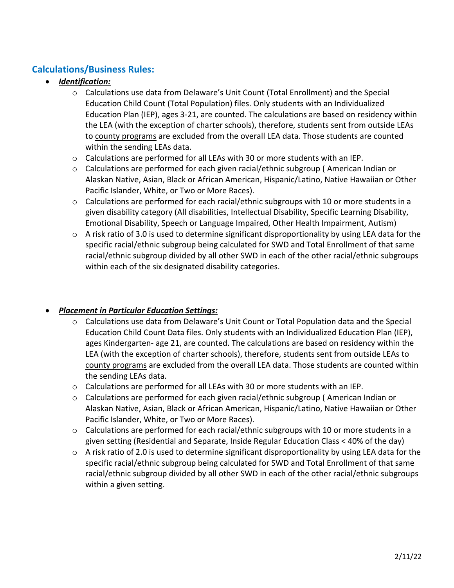# **Calculations/Business Rules:**

## *Identification:*

- o Calculations use data from Delaware's Unit Count (Total Enrollment) and the Special Education Child Count (Total Population) files. Only students with an Individualized Education Plan (IEP), ages 3-21, are counted. The calculations are based on residency within the LEA (with the exception of charter schools), therefore, students sent from outside LEAs to county programs are excluded from the overall LEA data. Those students are counted within the sending LEAs data.
- $\circ$  Calculations are performed for all LEAs with 30 or more students with an IEP.
- o Calculations are performed for each given racial/ethnic subgroup ( American Indian or Alaskan Native, Asian, Black or African American, Hispanic/Latino, Native Hawaiian or Other Pacific Islander, White, or Two or More Races).
- $\circ$  Calculations are performed for each racial/ethnic subgroups with 10 or more students in a given disability category (All disabilities, Intellectual Disability, Specific Learning Disability, Emotional Disability, Speech or Language Impaired, Other Health Impairment, Autism)
- $\circ$  A risk ratio of 3.0 is used to determine significant disproportionality by using LEA data for the specific racial/ethnic subgroup being calculated for SWD and Total Enrollment of that same racial/ethnic subgroup divided by all other SWD in each of the other racial/ethnic subgroups within each of the six designated disability categories.

## *Placement in Particular Education Settings:*

- o Calculations use data from Delaware's Unit Count or Total Population data and the Special Education Child Count Data files. Only students with an Individualized Education Plan (IEP), ages Kindergarten- age 21, are counted. The calculations are based on residency within the LEA (with the exception of charter schools), therefore, students sent from outside LEAs to county programs are excluded from the overall LEA data. Those students are counted within the sending LEAs data.
- $\circ$  Calculations are performed for all LEAs with 30 or more students with an IEP.
- o Calculations are performed for each given racial/ethnic subgroup ( American Indian or Alaskan Native, Asian, Black or African American, Hispanic/Latino, Native Hawaiian or Other Pacific Islander, White, or Two or More Races).
- $\circ$  Calculations are performed for each racial/ethnic subgroups with 10 or more students in a given setting (Residential and Separate, Inside Regular Education Class < 40% of the day)
- $\circ$  A risk ratio of 2.0 is used to determine significant disproportionality by using LEA data for the specific racial/ethnic subgroup being calculated for SWD and Total Enrollment of that same racial/ethnic subgroup divided by all other SWD in each of the other racial/ethnic subgroups within a given setting.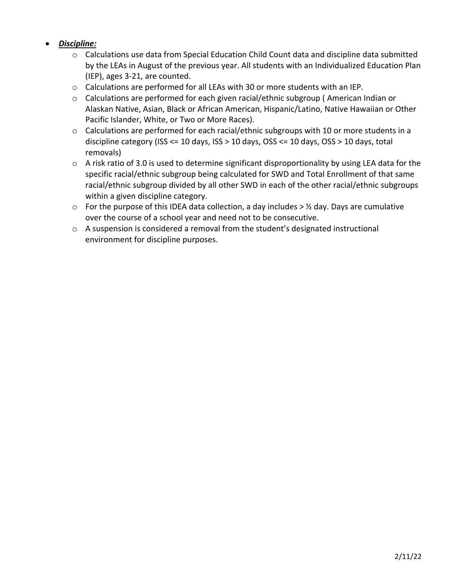## *Discipline:*

- o Calculations use data from Special Education Child Count data and discipline data submitted by the LEAs in August of the previous year. All students with an Individualized Education Plan (IEP), ages 3-21, are counted.
- $\circ$  Calculations are performed for all LEAs with 30 or more students with an IEP.
- o Calculations are performed for each given racial/ethnic subgroup ( American Indian or Alaskan Native, Asian, Black or African American, Hispanic/Latino, Native Hawaiian or Other Pacific Islander, White, or Two or More Races).
- o Calculations are performed for each racial/ethnic subgroups with 10 or more students in a discipline category (ISS <= 10 days, ISS > 10 days, OSS <= 10 days, OSS > 10 days, total removals)
- o A risk ratio of 3.0 is used to determine significant disproportionality by using LEA data for the specific racial/ethnic subgroup being calculated for SWD and Total Enrollment of that same racial/ethnic subgroup divided by all other SWD in each of the other racial/ethnic subgroups within a given discipline category.
- $\circ$  For the purpose of this IDEA data collection, a day includes >  $\frac{1}{2}$  day. Days are cumulative over the course of a school year and need not to be consecutive.
- o A suspension is considered a removal from the student's designated instructional environment for discipline purposes.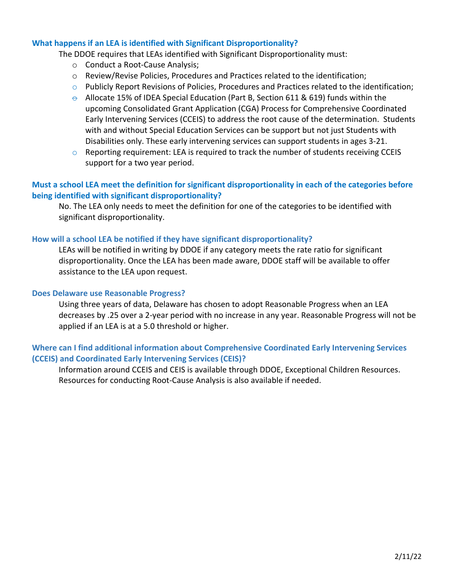#### **What happens if an LEA is identified with Significant Disproportionality?**

The DDOE requires that LEAs identified with Significant Disproportionality must:

- o Conduct a Root-Cause Analysis;
- o Review/Revise Policies, Procedures and Practices related to the identification;
- o Publicly Report Revisions of Policies, Procedures and Practices related to the identification;
- $\theta$  Allocate 15% of IDEA Special Education (Part B, Section 611 & 619) funds within the upcoming Consolidated Grant Application (CGA) Process for Comprehensive Coordinated Early Intervening Services (CCEIS) to address the root cause of the determination. Students with and without Special Education Services can be support but not just Students with Disabilities only. These early intervening services can support students in ages 3-21.
- $\circ$  Reporting requirement: LEA is required to track the number of students receiving CCEIS support for a two year period.

### **Must a school LEA meet the definition for significant disproportionality in each of the categories before being identified with significant disproportionality?**

No. The LEA only needs to meet the definition for one of the categories to be identified with significant disproportionality.

#### **How will a school LEA be notified if they have significant disproportionality?**

LEAs will be notified in writing by DDOE if any category meets the rate ratio for significant disproportionality. Once the LEA has been made aware, DDOE staff will be available to offer assistance to the LEA upon request.

#### **Does Delaware use Reasonable Progress?**

Using three years of data, Delaware has chosen to adopt Reasonable Progress when an LEA decreases by .25 over a 2-year period with no increase in any year. Reasonable Progress will not be applied if an LEA is at a 5.0 threshold or higher.

## **Where can I find additional information about Comprehensive Coordinated Early Intervening Services (CCEIS) and Coordinated Early Intervening Services (CEIS)?**

Information around CCEIS and CEIS is available through DDOE, Exceptional Children Resources. Resources for conducting Root-Cause Analysis is also available if needed.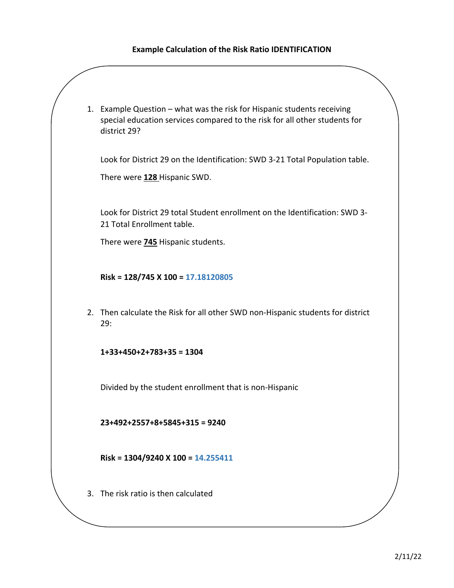#### **Example Calculation of the Risk Ratio IDENTIFICATION**